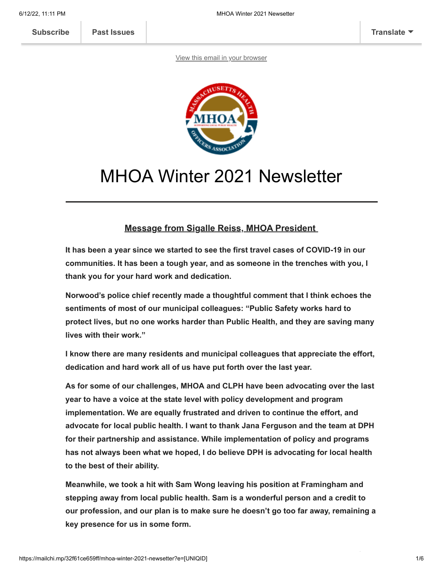**[Subscribe](http://eepurl.com/djcbLb) [Past Issues](https://us3.campaign-archive.com/home/?u=a1b0f89bb03fdc185f0b23f1a&id=df77b89c12) [Translate](javascript:;)**

[View this email in your browser](https://mailchi.mp/32f61ce659ff/mhoa-winter-2021-newsetter?e=[UNIQID])



# MHOA Winter 2021 Newsletter

#### **Message from Sigalle Reiss, MHOA President**

**It has been a year since we started to see the first travel cases of COVID-19 in our communities. It has been a tough year, and as someone in the trenches with you, I thank you for your hard work and dedication.**

**Norwood's police chief recently made a thoughtful comment that I think echoes the sentiments of most of our municipal colleagues: "Public Safety works hard to protect lives, but no one works harder than Public Health, and they are saving many lives with their work."**

**I know there are many residents and municipal colleagues that appreciate the effort, dedication and hard work all of us have put forth over the last year.**

**As for some of our challenges, MHOA and CLPH have been advocating over the last year to have a voice at the state level with policy development and program implementation. We are equally frustrated and driven to continue the effort, and advocate for local public health. I want to thank Jana Ferguson and the team at DPH for their partnership and assistance. While implementation of policy and programs has not always been what we hoped, I do believe DPH is advocating for local health to the best of their ability.**

**Meanwhile, we took a hit with Sam Wong leaving his position at Framingham and stepping away from local public health. Sam is a wonderful person and a credit to our profession, and our plan is to make sure he doesn't go too far away, remaining a key presence for us in some form.**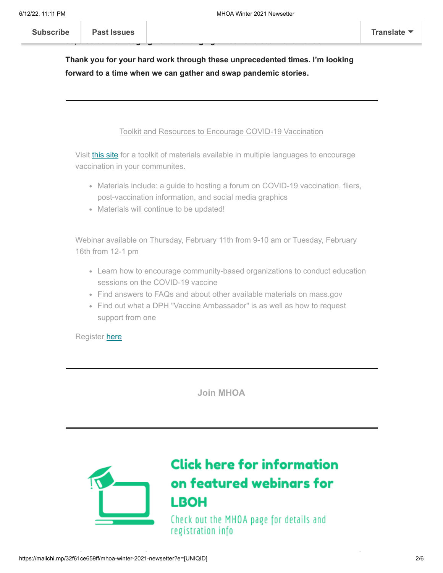### **Thank you for your hard work through these unprecedented times. I'm looking forward to a time when we can gather and swap pandemic stories.**

**so, also acknowledging how challenging times have been for all of us.**

**My [hope in writing this](https://us3.campaign-archive.com/home/?u=a1b0f89bb03fdc185f0b23f1a&id=df77b89c12) letter was to pass along some uplifting words, but in doing**

Toolkit and Resources to Encourage COVID-19 Vaccination

Visit [this site](http://www.mass.gov/info-details/stop-covid-19-vaccine-education-and-outreach-materials) for a toolkit of materials available in multiple languages to encourage vaccination in your communites.

- Materials include: a guide to hosting a forum on COVID-19 vaccination, fliers, post-vaccination information, and social media graphics
- Materials will continue to be updated!

Webinar available on Thursday, February 11th from 9-10 am or Tuesday, February 16th from 12-1 pm

- Learn how to encourage community-based organizations to conduct education sessions on the COVID-19 vaccine
- Find answers to FAQs and about other available materials on mass.gov
- Find out what a DPH "Vaccine Ambassador" is as well as how to request support from one

Register [here](http://www.cvent.com/events/virtual-covid-19-vaccine-start-a-conversation-in-your-community/event-summary-dc6742c59c7f41e68e00e07d27d59e66.aspx)

**[Join MHOA](https://mhoa.com/membership/)**



## **Click here for information** on featured webinars for **LBOH**

Check out the MHOA page for details and registration info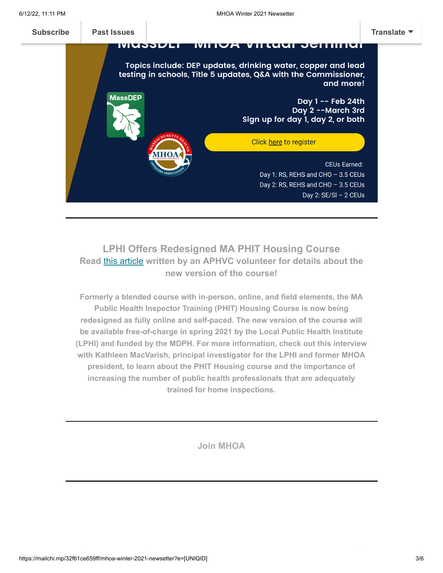

#### **LPHI Offers Redesigned MA PHIT Housing Course Read** [this article](https://mhoa.com/ma-public-health-inspector-training-phit-housing-course/) **written by an APHVC volunteer for details about the new version of the course!**

**Formerly a blended course with in-person, online, and field elements, the MA Public Health Inspector Training (PHIT) Housing Course is now being redesigned as fully online and self-paced. The new version of the course will be available free-of-charge in spring 2021 by the Local Public Health Institute (LPHI) and funded by the MDPH. For more information, check out this interview with Kathleen MacVarish, principal investigator for the LPHI and former MHOA president, to learn about the PHIT Housing course and the importance of increasing the number of public health professionals that are adequately trained for home inspections.**

**[Join MHOA](https://mhoa.com/membership/)**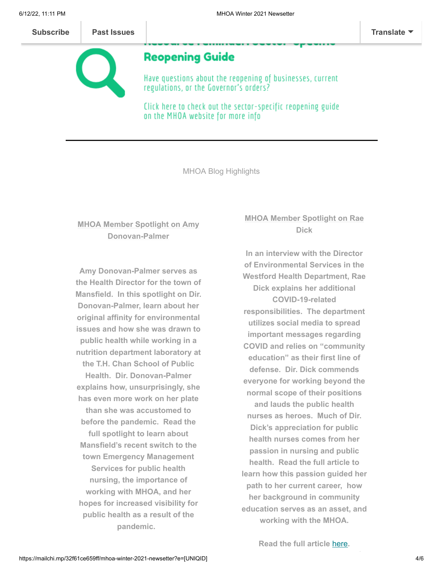

### **Reopening Guide**

Have questions about the reopening of businesses, current regulations, or the Governor's orders?

Click here to check out the sector-specific reopening guide on the MHOA website for more info

MHOA Blog Highlights

#### **MHOA Member Spotlight on Amy Donovan-Palmer**

**Amy Donovan-Palmer serves as the Health Director for the town of Mansfield. In this spotlight on Dir. Donovan-Palmer, learn about her original affinity for environmental issues and how she was drawn to public health while working in a nutrition department laboratory at the T.H. Chan School of Public Health. Dir. Donovan-Palmer explains how, unsurprisingly, she has even more work on her plate than she was accustomed to before the pandemic. Read the full spotlight to learn about Mansfield's recent switch to the town Emergency Management Services for public health nursing, the importance of working with MHOA, and her hopes for increased visibility for public health as a result of the pandemic.**

#### **MHOA Member Spotlight on Rae Dick**

**In an interview with the Director of Environmental Services in the Westford Health Department, Rae Dick explains her additional COVID-19-related responsibilities. The department utilizes social media to spread important messages regarding COVID and relies on "community education" as their first line of defense. Dir. Dick commends everyone for working beyond the normal scope of their positions and lauds the public health nurses as heroes. Much of Dir. Dick's appreciation for public health nurses comes from her passion in nursing and public health. Read the full article to learn how this passion guided her path to her current career, how her background in community education serves as an asset, and working with the MHOA.**

**Read the full article** [here](https://mhoa.com/mhoa-spotlight-rae-dick/)**.**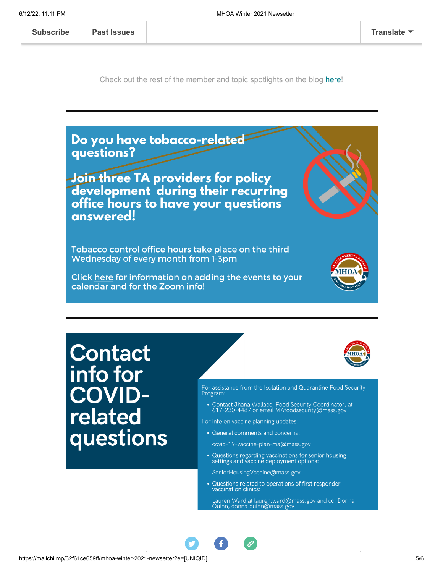**[Subscribe](http://eepurl.com/djcbLb) Past Issues [Translate](javascript:;)**

Check out the rest of the member and topic spotlights on the blog [here](https://mhoa.com/mhoa-member-spotlight-blog/)!



For info on vaccine planning updates:

• General comments and concerns:

covid-19-vaccine-plan-ma@mass.gov

• Questions regarding vaccinations for senior housing<br>settings and vaccine deployment options:

SeniorHousingVaccine@mass.gov

• Questions related to operations of first responder vaccination clinics:

Lauren Ward at lauren.ward@mass.gov and cc: Donna<br>Quinn, donna.quinn@mass.gov



questions